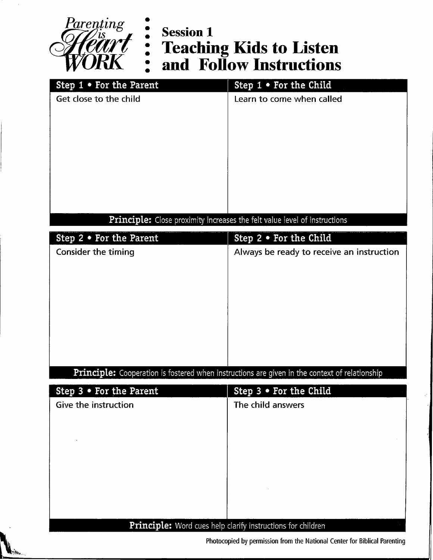

**. .'**

# **Teaching Kids to Listen and Follow Instructions**

| Step 1 . For the Child                                                           |  |  |
|----------------------------------------------------------------------------------|--|--|
| Learn to come when called                                                        |  |  |
|                                                                                  |  |  |
|                                                                                  |  |  |
|                                                                                  |  |  |
|                                                                                  |  |  |
|                                                                                  |  |  |
|                                                                                  |  |  |
|                                                                                  |  |  |
| <b>Principle:</b> Close proximity increases the felt value level of instructions |  |  |
| Step $2 \cdot$ For the Child                                                     |  |  |
| Always be ready to receive an instruction                                        |  |  |
|                                                                                  |  |  |

### **Principle:** Cooperation is fostered when instructions are given in the context of relationship

| Step $3 \cdot$ For the Parent                                      | Step 3 . For the Child |
|--------------------------------------------------------------------|------------------------|
| Give the instruction                                               | The child answers      |
|                                                                    |                        |
|                                                                    |                        |
|                                                                    |                        |
|                                                                    |                        |
|                                                                    |                        |
|                                                                    |                        |
|                                                                    |                        |
|                                                                    |                        |
| <b>Principle:</b> Word cues help clarify instructions for children |                        |

**Photocopied by permission from the National Center for Biblical Parenting**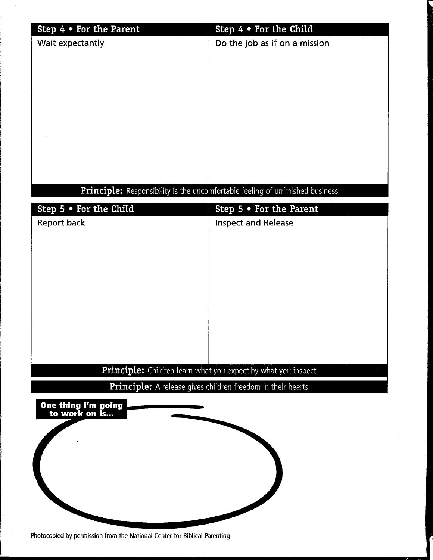| Step $4 \cdot$ For the Parent | Step $4 \cdot$ For the Child                                                  |
|-------------------------------|-------------------------------------------------------------------------------|
| Wait expectantly              | Do the job as if on a mission                                                 |
|                               |                                                                               |
|                               |                                                                               |
|                               |                                                                               |
|                               |                                                                               |
|                               |                                                                               |
|                               |                                                                               |
|                               |                                                                               |
|                               |                                                                               |
|                               |                                                                               |
|                               |                                                                               |
|                               | Principle: Responsibility is the uncomfortable feeling of unfinished business |
| Step 5 . For the Child        |                                                                               |
|                               | Step $5 \cdot$ For the Parent                                                 |
| <b>Report back</b>            | <b>Inspect and Release</b>                                                    |
|                               |                                                                               |
|                               |                                                                               |
|                               |                                                                               |
|                               |                                                                               |
|                               |                                                                               |
|                               |                                                                               |
|                               |                                                                               |
|                               |                                                                               |
|                               |                                                                               |
|                               |                                                                               |
|                               | Principle: Children learn what you expect by what you inspect                 |
|                               | Principle: A release gives children freedom in their hearts                   |
| One thing I'm going           |                                                                               |
| to work on is                 |                                                                               |
|                               |                                                                               |
|                               |                                                                               |
|                               |                                                                               |
|                               |                                                                               |
|                               |                                                                               |
|                               |                                                                               |
|                               |                                                                               |
|                               |                                                                               |

 $\bar{\bar{z}}$ 

**Photocopied by permission from the National Center for Biblical Parenting**

 $\ddot{\phantom{0}}$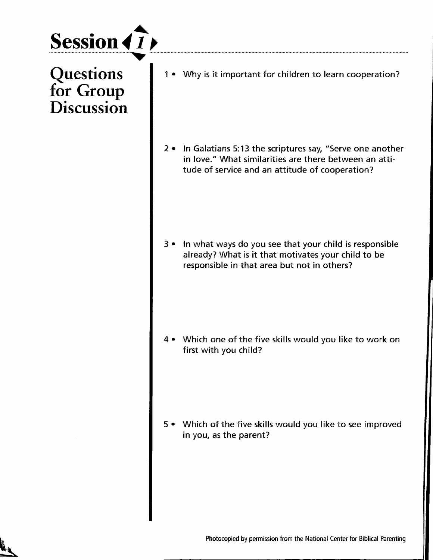

**Questions** for Group **Discussion** 

1 • Why is it important for children to learn cooperation?

2 • In Galatians 5:13 the scriptures say, "Serve one another in love." What similarities are there between an attitude of service and an attitude of cooperation?

3 • In what ways do you see that your child is responsible already? What is it that motivates your child to be responsible in that area but not in others?

Which one of the five skills would you like to work on first with you child?

5 • Which of the five skills would you like to see improved in you, as the parent?